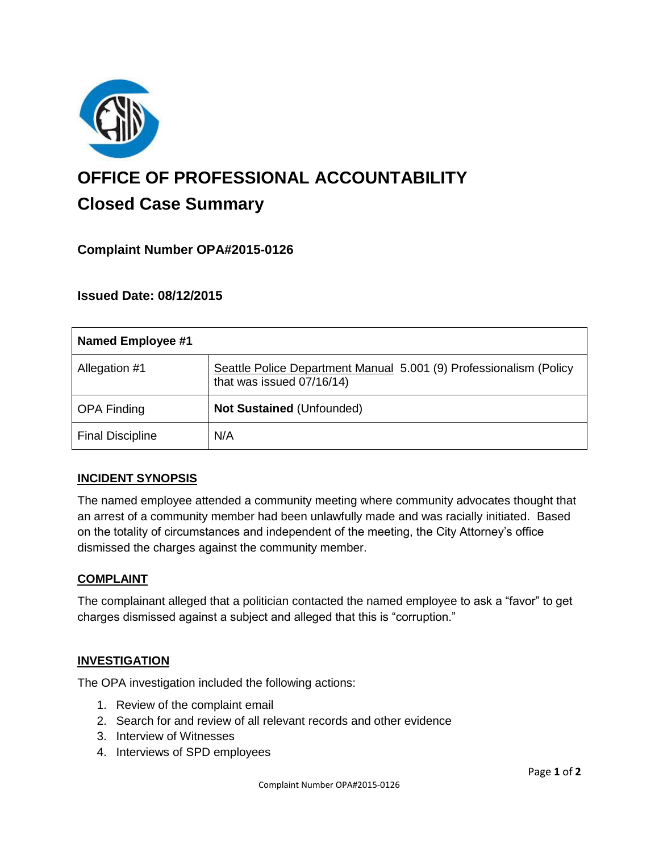

# **OFFICE OF PROFESSIONAL ACCOUNTABILITY Closed Case Summary**

# **Complaint Number OPA#2015-0126**

# **Issued Date: 08/12/2015**

| <b>Named Employee #1</b> |                                                                                                 |
|--------------------------|-------------------------------------------------------------------------------------------------|
| Allegation #1            | Seattle Police Department Manual 5.001 (9) Professionalism (Policy<br>that was issued 07/16/14) |
| <b>OPA Finding</b>       | Not Sustained (Unfounded)                                                                       |
| <b>Final Discipline</b>  | N/A                                                                                             |

## **INCIDENT SYNOPSIS**

The named employee attended a community meeting where community advocates thought that an arrest of a community member had been unlawfully made and was racially initiated. Based on the totality of circumstances and independent of the meeting, the City Attorney's office dismissed the charges against the community member.

#### **COMPLAINT**

The complainant alleged that a politician contacted the named employee to ask a "favor" to get charges dismissed against a subject and alleged that this is "corruption."

## **INVESTIGATION**

The OPA investigation included the following actions:

- 1. Review of the complaint email
- 2. Search for and review of all relevant records and other evidence
- 3. Interview of Witnesses
- 4. Interviews of SPD employees